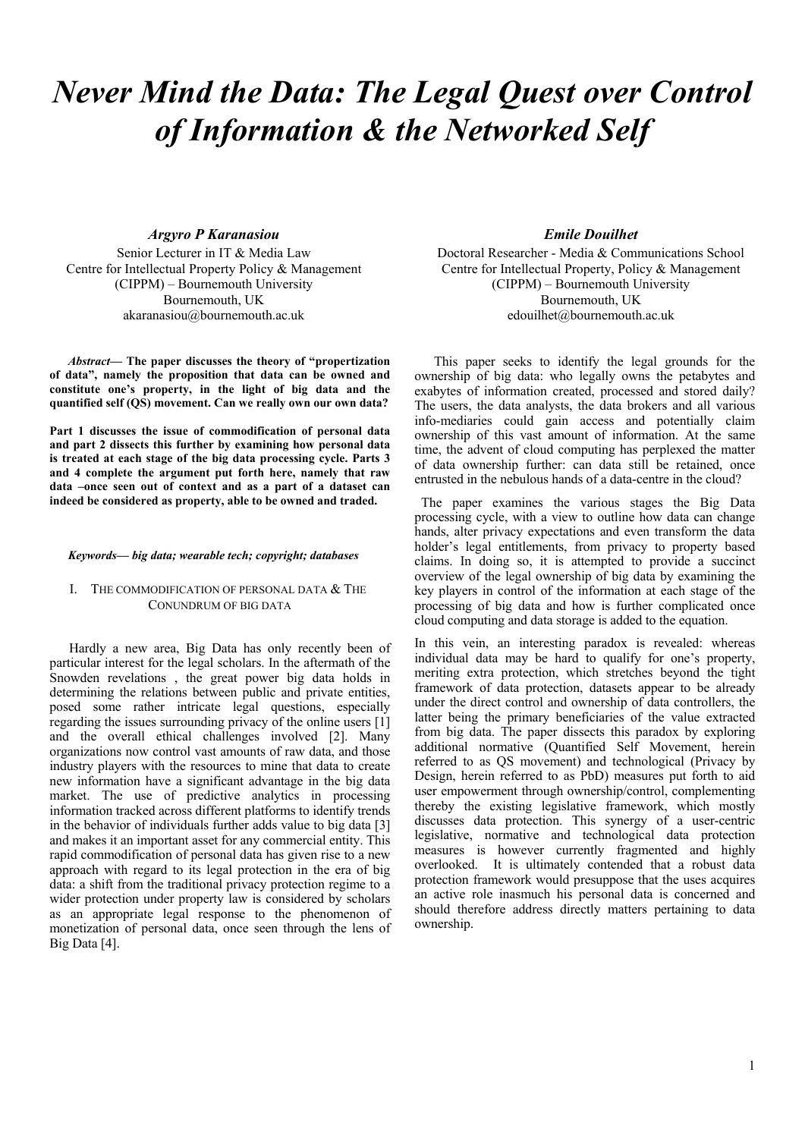# *Never Mind the Data: The Legal Quest over Control of Information & the Networked Self*

# *Argyro P Karanasiou*

Senior Lecturer in IT & Media Law Centre for Intellectual Property Policy & Management (CIPPM) – Bournemouth University Bournemouth, UK akaranasiou@bournemouth.ac.uk

*Abstract***— The paper discusses the theory of "propertization of data", namely the proposition that data can be owned and constitute one's property, in the light of big data and the quantified self (QS) movement. Can we really own our own data?** 

**Part 1 discusses the issue of commodification of personal data and part 2 dissects this further by examining how personal data is treated at each stage of the big data processing cycle. Parts 3 and 4 complete the argument put forth here, namely that raw data –once seen out of context and as a part of a dataset can indeed be considered as property, able to be owned and traded.** 

### *Keywords— big data; wearable tech; copyright; databases*

## I. THE COMMODIFICATION OF PERSONAL DATA & THE CONUNDRUM OF BIG DATA

 Hardly a new area, Big Data has only recently been of particular interest for the legal scholars. In the aftermath of the Snowden revelations , the great power big data holds in determining the relations between public and private entities, posed some rather intricate legal questions, especially regarding the issues surrounding privacy of the online users [1] and the overall ethical challenges involved [2]. Many organizations now control vast amounts of raw data, and those industry players with the resources to mine that data to create new information have a significant advantage in the big data market. The use of predictive analytics in processing information tracked across different platforms to identify trends in the behavior of individuals further adds value to big data [3] and makes it an important asset for any commercial entity. This rapid commodification of personal data has given rise to a new approach with regard to its legal protection in the era of big data: a shift from the traditional privacy protection regime to a wider protection under property law is considered by scholars as an appropriate legal response to the phenomenon of monetization of personal data, once seen through the lens of Big Data [4].

## *Emile Douilhet*

Doctoral Researcher - Media & Communications School Centre for Intellectual Property, Policy & Management (CIPPM) – Bournemouth University Bournemouth, UK edouilhet@bournemouth.ac.uk

This paper seeks to identify the legal grounds for the ownership of big data: who legally owns the petabytes and exabytes of information created, processed and stored daily? The users, the data analysts, the data brokers and all various info-mediaries could gain access and potentially claim ownership of this vast amount of information. At the same time, the advent of cloud computing has perplexed the matter of data ownership further: can data still be retained, once entrusted in the nebulous hands of a data-centre in the cloud?

 The paper examines the various stages the Big Data processing cycle, with a view to outline how data can change hands, alter privacy expectations and even transform the data holder's legal entitlements, from privacy to property based claims. In doing so, it is attempted to provide a succinct overview of the legal ownership of big data by examining the key players in control of the information at each stage of the processing of big data and how is further complicated once cloud computing and data storage is added to the equation.

In this vein, an interesting paradox is revealed: whereas individual data may be hard to qualify for one's property, meriting extra protection, which stretches beyond the tight framework of data protection, datasets appear to be already under the direct control and ownership of data controllers, the latter being the primary beneficiaries of the value extracted from big data. The paper dissects this paradox by exploring additional normative (Quantified Self Movement, herein referred to as QS movement) and technological (Privacy by Design, herein referred to as PbD) measures put forth to aid user empowerment through ownership/control, complementing thereby the existing legislative framework, which mostly discusses data protection. This synergy of a user-centric legislative, normative and technological data protection measures is however currently fragmented and highly overlooked. It is ultimately contended that a robust data protection framework would presuppose that the uses acquires an active role inasmuch his personal data is concerned and should therefore address directly matters pertaining to data ownership.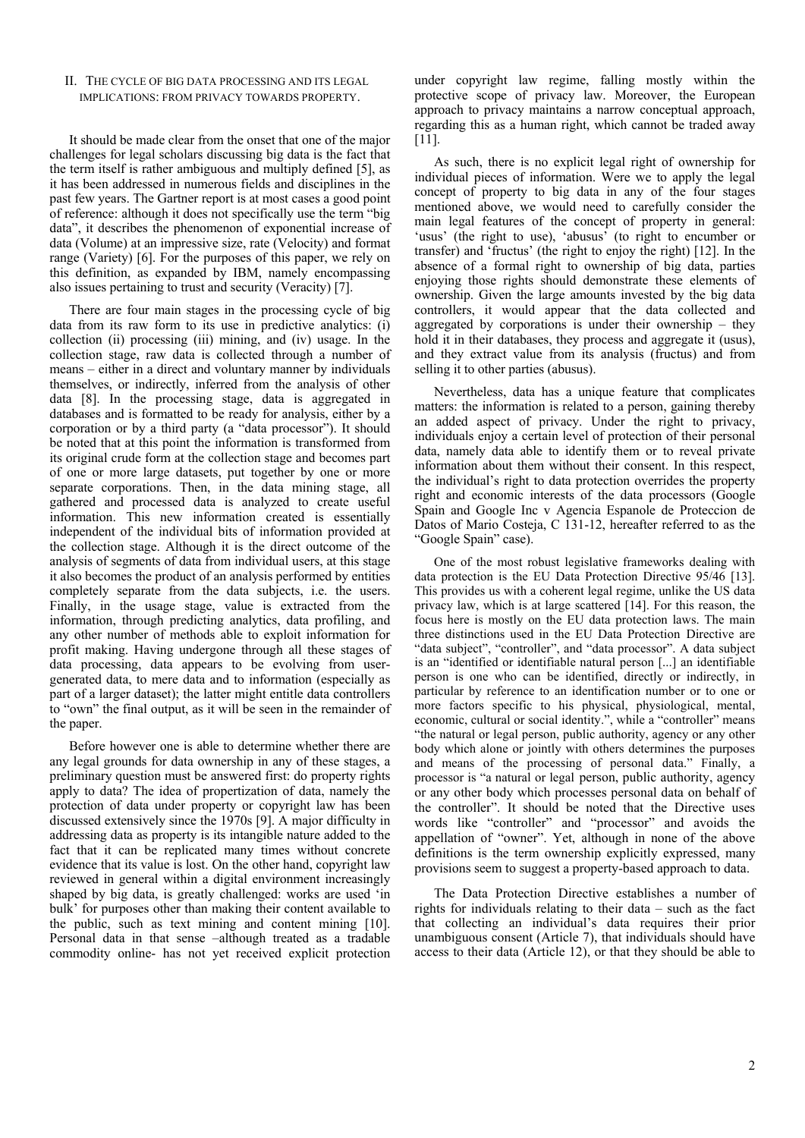# II. THE CYCLE OF BIG DATA PROCESSING AND ITS LEGAL IMPLICATIONS: FROM PRIVACY TOWARDS PROPERTY.

It should be made clear from the onset that one of the major challenges for legal scholars discussing big data is the fact that the term itself is rather ambiguous and multiply defined [5], as it has been addressed in numerous fields and disciplines in the past few years. The Gartner report is at most cases a good point of reference: although it does not specifically use the term "big data", it describes the phenomenon of exponential increase of data (Volume) at an impressive size, rate (Velocity) and format range (Variety) [6]. For the purposes of this paper, we rely on this definition, as expanded by IBM, namely encompassing also issues pertaining to trust and security (Veracity) [7].

There are four main stages in the processing cycle of big data from its raw form to its use in predictive analytics: (i) collection (ii) processing (iii) mining, and (iv) usage. In the collection stage, raw data is collected through a number of means – either in a direct and voluntary manner by individuals themselves, or indirectly, inferred from the analysis of other data [8]. In the processing stage, data is aggregated in databases and is formatted to be ready for analysis, either by a corporation or by a third party (a "data processor"). It should be noted that at this point the information is transformed from its original crude form at the collection stage and becomes part of one or more large datasets, put together by one or more separate corporations. Then, in the data mining stage, all gathered and processed data is analyzed to create useful information. This new information created is essentially independent of the individual bits of information provided at the collection stage. Although it is the direct outcome of the analysis of segments of data from individual users, at this stage it also becomes the product of an analysis performed by entities completely separate from the data subjects, i.e. the users. Finally, in the usage stage, value is extracted from the information, through predicting analytics, data profiling, and any other number of methods able to exploit information for profit making. Having undergone through all these stages of data processing, data appears to be evolving from usergenerated data, to mere data and to information (especially as part of a larger dataset); the latter might entitle data controllers to "own" the final output, as it will be seen in the remainder of the paper.

Before however one is able to determine whether there are any legal grounds for data ownership in any of these stages, a preliminary question must be answered first: do property rights apply to data? The idea of propertization of data, namely the protection of data under property or copyright law has been discussed extensively since the 1970s [9]. A major difficulty in addressing data as property is its intangible nature added to the fact that it can be replicated many times without concrete evidence that its value is lost. On the other hand, copyright law reviewed in general within a digital environment increasingly shaped by big data, is greatly challenged: works are used 'in bulk' for purposes other than making their content available to the public, such as text mining and content mining [10]. Personal data in that sense –although treated as a tradable commodity online- has not yet received explicit protection

under copyright law regime, falling mostly within the protective scope of privacy law. Moreover, the European approach to privacy maintains a narrow conceptual approach, regarding this as a human right, which cannot be traded away [11].

As such, there is no explicit legal right of ownership for individual pieces of information. Were we to apply the legal concept of property to big data in any of the four stages mentioned above, we would need to carefully consider the main legal features of the concept of property in general: 'usus' (the right to use), 'abusus' (to right to encumber or transfer) and 'fructus' (the right to enjoy the right) [12]. In the absence of a formal right to ownership of big data, parties enjoying those rights should demonstrate these elements of ownership. Given the large amounts invested by the big data controllers, it would appear that the data collected and aggregated by corporations is under their ownership – they hold it in their databases, they process and aggregate it (usus), and they extract value from its analysis (fructus) and from selling it to other parties (abusus).

Nevertheless, data has a unique feature that complicates matters: the information is related to a person, gaining thereby an added aspect of privacy. Under the right to privacy, individuals enjoy a certain level of protection of their personal data, namely data able to identify them or to reveal private information about them without their consent. In this respect, the individual's right to data protection overrides the property right and economic interests of the data processors (Google Spain and Google Inc v Agencia Espanole de Proteccion de Datos of Mario Costeja, C 131-12, hereafter referred to as the "Google Spain" case).

One of the most robust legislative frameworks dealing with data protection is the EU Data Protection Directive 95/46 [13]. This provides us with a coherent legal regime, unlike the US data privacy law, which is at large scattered [14]. For this reason, the focus here is mostly on the EU data protection laws. The main three distinctions used in the EU Data Protection Directive are "data subject", "controller", and "data processor". A data subject is an "identified or identifiable natural person [...] an identifiable person is one who can be identified, directly or indirectly, in particular by reference to an identification number or to one or more factors specific to his physical, physiological, mental, economic, cultural or social identity.", while a "controller" means "the natural or legal person, public authority, agency or any other body which alone or jointly with others determines the purposes and means of the processing of personal data." Finally, a processor is "a natural or legal person, public authority, agency or any other body which processes personal data on behalf of the controller". It should be noted that the Directive uses words like "controller" and "processor" and avoids the appellation of "owner". Yet, although in none of the above definitions is the term ownership explicitly expressed, many provisions seem to suggest a property-based approach to data.

The Data Protection Directive establishes a number of rights for individuals relating to their data – such as the fact that collecting an individual's data requires their prior unambiguous consent (Article 7), that individuals should have access to their data (Article 12), or that they should be able to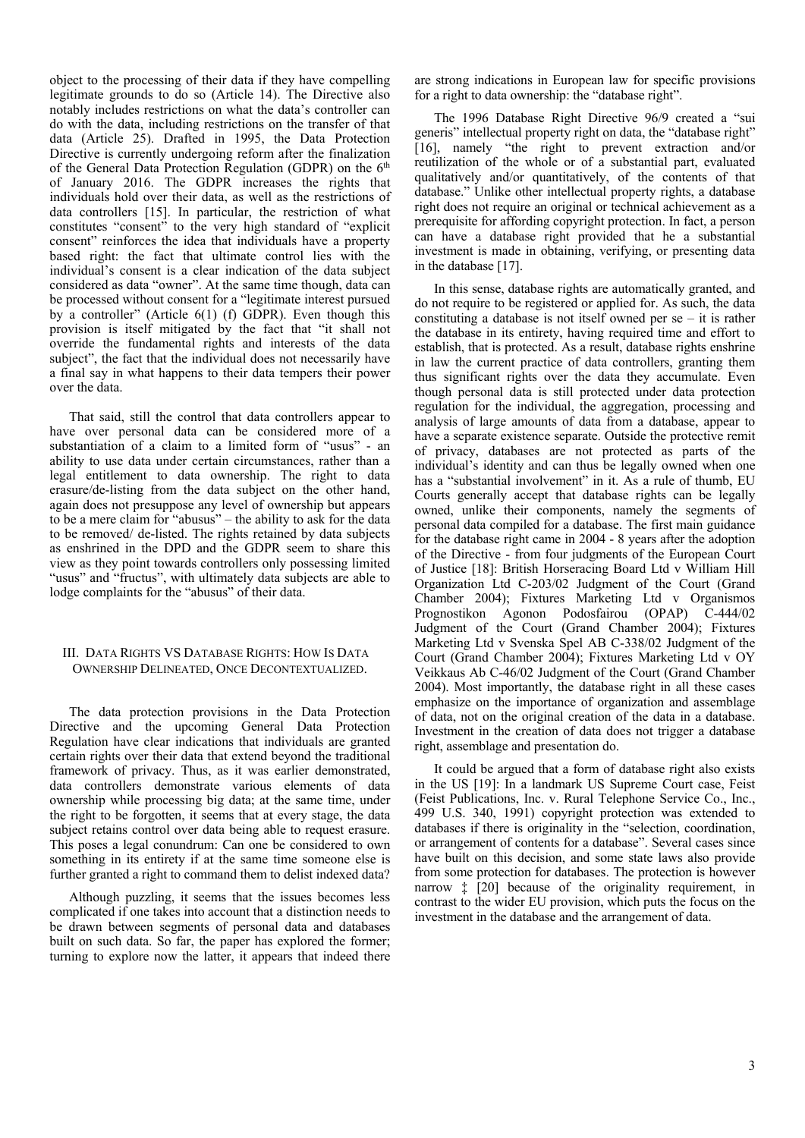object to the processing of their data if they have compelling legitimate grounds to do so (Article 14). The Directive also notably includes restrictions on what the data's controller can do with the data, including restrictions on the transfer of that data (Article 25). Drafted in 1995, the Data Protection Directive is currently undergoing reform after the finalization of the General Data Protection Regulation (GDPR) on the 6<sup>th</sup> of January 2016. The GDPR increases the rights that individuals hold over their data, as well as the restrictions of data controllers [15]. In particular, the restriction of what constitutes "consent" to the very high standard of "explicit consent" reinforces the idea that individuals have a property based right: the fact that ultimate control lies with the individual's consent is a clear indication of the data subject considered as data "owner". At the same time though, data can be processed without consent for a "legitimate interest pursued by a controller" (Article 6(1) (f) GDPR). Even though this provision is itself mitigated by the fact that "it shall not override the fundamental rights and interests of the data subject", the fact that the individual does not necessarily have a final say in what happens to their data tempers their power over the data.

That said, still the control that data controllers appear to have over personal data can be considered more of a substantiation of a claim to a limited form of "usus" - an ability to use data under certain circumstances, rather than a legal entitlement to data ownership. The right to data erasure/de-listing from the data subject on the other hand, again does not presuppose any level of ownership but appears to be a mere claim for "abusus" – the ability to ask for the data to be removed/ de-listed. The rights retained by data subjects as enshrined in the DPD and the GDPR seem to share this view as they point towards controllers only possessing limited "usus" and "fructus", with ultimately data subjects are able to lodge complaints for the "abusus" of their data.

# III. DATA RIGHTS VS DATABASE RIGHTS: HOW IS DATA OWNERSHIP DELINEATED, ONCE DECONTEXTUALIZED.

The data protection provisions in the Data Protection Directive and the upcoming General Data Protection Regulation have clear indications that individuals are granted certain rights over their data that extend beyond the traditional framework of privacy. Thus, as it was earlier demonstrated, data controllers demonstrate various elements of data ownership while processing big data; at the same time, under the right to be forgotten, it seems that at every stage, the data subject retains control over data being able to request erasure. This poses a legal conundrum: Can one be considered to own something in its entirety if at the same time someone else is further granted a right to command them to delist indexed data?

Although puzzling, it seems that the issues becomes less complicated if one takes into account that a distinction needs to be drawn between segments of personal data and databases built on such data. So far, the paper has explored the former; turning to explore now the latter, it appears that indeed there

are strong indications in European law for specific provisions for a right to data ownership: the "database right".

The 1996 Database Right Directive 96/9 created a "sui generis" intellectual property right on data, the "database right" [16], namely "the right to prevent extraction and/or reutilization of the whole or of a substantial part, evaluated qualitatively and/or quantitatively, of the contents of that database." Unlike other intellectual property rights, a database right does not require an original or technical achievement as a prerequisite for affording copyright protection. In fact, a person can have a database right provided that he a substantial investment is made in obtaining, verifying, or presenting data in the database [17].

In this sense, database rights are automatically granted, and do not require to be registered or applied for. As such, the data constituting a database is not itself owned per  $se - it$  is rather the database in its entirety, having required time and effort to establish, that is protected. As a result, database rights enshrine in law the current practice of data controllers, granting them thus significant rights over the data they accumulate. Even though personal data is still protected under data protection regulation for the individual, the aggregation, processing and analysis of large amounts of data from a database, appear to have a separate existence separate. Outside the protective remit of privacy, databases are not protected as parts of the individual's identity and can thus be legally owned when one has a "substantial involvement" in it. As a rule of thumb, EU Courts generally accept that database rights can be legally owned, unlike their components, namely the segments of personal data compiled for a database. The first main guidance for the database right came in 2004 - 8 years after the adoption of the Directive - from four judgments of the European Court of Justice [18]: British Horseracing Board Ltd v William Hill Organization Ltd C-203/02 Judgment of the Court (Grand Chamber 2004); Fixtures Marketing Ltd v Organismos Prognostikon Agonon Podosfairou (OPAP) C-444/02 Judgment of the Court (Grand Chamber 2004); Fixtures Marketing Ltd v Svenska Spel AB C-338/02 Judgment of the Court (Grand Chamber 2004); Fixtures Marketing Ltd v OY Veikkaus Ab C-46/02 Judgment of the Court (Grand Chamber 2004). Most importantly, the database right in all these cases emphasize on the importance of organization and assemblage of data, not on the original creation of the data in a database. Investment in the creation of data does not trigger a database right, assemblage and presentation do.

It could be argued that a form of database right also exists in the US [19]: In a landmark US Supreme Court case, Feist (Feist Publications, Inc. v. Rural Telephone Service Co., Inc., 499 U.S. 340, 1991) copyright protection was extended to databases if there is originality in the "selection, coordination, or arrangement of contents for a database". Several cases since have built on this decision, and some state laws also provide from some protection for databases. The protection is however narrow ‡ [20] because of the originality requirement, in contrast to the wider EU provision, which puts the focus on the investment in the database and the arrangement of data.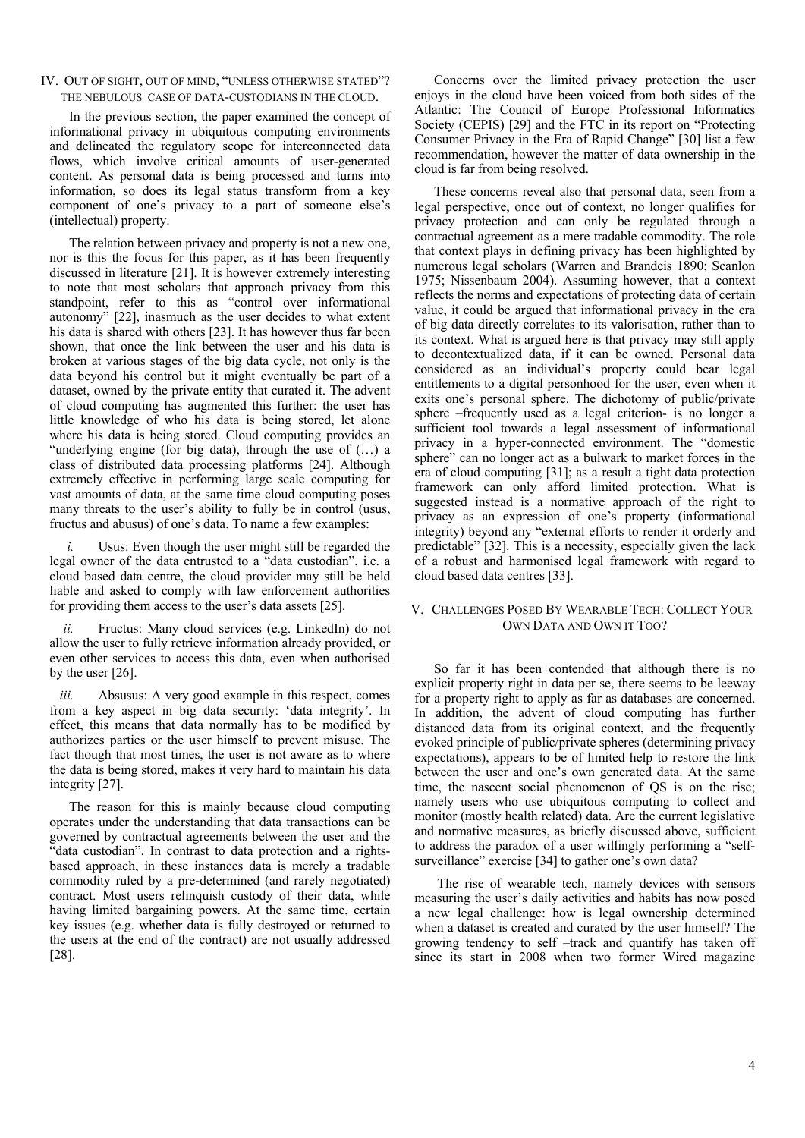# IV. OUT OF SIGHT, OUT OF MIND, "UNLESS OTHERWISE STATED"? THE NEBULOUS CASE OF DATA-CUSTODIANS IN THE CLOUD.

In the previous section, the paper examined the concept of informational privacy in ubiquitous computing environments and delineated the regulatory scope for interconnected data flows, which involve critical amounts of user-generated content. As personal data is being processed and turns into information, so does its legal status transform from a key component of one's privacy to a part of someone else's (intellectual) property.

The relation between privacy and property is not a new one, nor is this the focus for this paper, as it has been frequently discussed in literature [21]. It is however extremely interesting to note that most scholars that approach privacy from this standpoint, refer to this as "control over informational autonomy" [22], inasmuch as the user decides to what extent his data is shared with others [23]. It has however thus far been shown, that once the link between the user and his data is broken at various stages of the big data cycle, not only is the data beyond his control but it might eventually be part of a dataset, owned by the private entity that curated it. The advent of cloud computing has augmented this further: the user has little knowledge of who his data is being stored, let alone where his data is being stored. Cloud computing provides an "underlying engine (for big data), through the use of (…) a class of distributed data processing platforms [24]. Although extremely effective in performing large scale computing for vast amounts of data, at the same time cloud computing poses many threats to the user's ability to fully be in control (usus, fructus and abusus) of one's data. To name a few examples:

Usus: Even though the user might still be regarded the legal owner of the data entrusted to a "data custodian", i.e. a cloud based data centre, the cloud provider may still be held liable and asked to comply with law enforcement authorities for providing them access to the user's data assets [25].

*ii.* Fructus: Many cloud services (e.g. LinkedIn) do not allow the user to fully retrieve information already provided, or even other services to access this data, even when authorised by the user [26].

*iii.* Absusus: A very good example in this respect, comes from a key aspect in big data security: 'data integrity'. In effect, this means that data normally has to be modified by authorizes parties or the user himself to prevent misuse. The fact though that most times, the user is not aware as to where the data is being stored, makes it very hard to maintain his data integrity [27].

The reason for this is mainly because cloud computing operates under the understanding that data transactions can be governed by contractual agreements between the user and the "data custodian". In contrast to data protection and a rightsbased approach, in these instances data is merely a tradable commodity ruled by a pre-determined (and rarely negotiated) contract. Most users relinquish custody of their data, while having limited bargaining powers. At the same time, certain key issues (e.g. whether data is fully destroyed or returned to the users at the end of the contract) are not usually addressed [28].

Concerns over the limited privacy protection the user enjoys in the cloud have been voiced from both sides of the Atlantic: The Council of Europe Professional Informatics Society (CEPIS) [29] and the FTC in its report on "Protecting Consumer Privacy in the Era of Rapid Change" [30] list a few recommendation, however the matter of data ownership in the cloud is far from being resolved.

These concerns reveal also that personal data, seen from a legal perspective, once out of context, no longer qualifies for privacy protection and can only be regulated through a contractual agreement as a mere tradable commodity. The role that context plays in defining privacy has been highlighted by numerous legal scholars (Warren and Brandeis 1890; Scanlon 1975; Nissenbaum 2004). Assuming however, that a context reflects the norms and expectations of protecting data of certain value, it could be argued that informational privacy in the era of big data directly correlates to its valorisation, rather than to its context. What is argued here is that privacy may still apply to decontextualized data, if it can be owned. Personal data considered as an individual's property could bear legal entitlements to a digital personhood for the user, even when it exits one's personal sphere. The dichotomy of public/private sphere –frequently used as a legal criterion- is no longer a sufficient tool towards a legal assessment of informational privacy in a hyper-connected environment. The "domestic sphere" can no longer act as a bulwark to market forces in the era of cloud computing [31]; as a result a tight data protection framework can only afford limited protection. What is suggested instead is a normative approach of the right to privacy as an expression of one's property (informational integrity) beyond any "external efforts to render it orderly and predictable" [32]. This is a necessity, especially given the lack of a robust and harmonised legal framework with regard to cloud based data centres [33].

# V. CHALLENGES POSED BY WEARABLE TECH: COLLECT YOUR OWN DATA AND OWN IT TOO?

So far it has been contended that although there is no explicit property right in data per se, there seems to be leeway for a property right to apply as far as databases are concerned. In addition, the advent of cloud computing has further distanced data from its original context, and the frequently evoked principle of public/private spheres (determining privacy expectations), appears to be of limited help to restore the link between the user and one's own generated data. At the same time, the nascent social phenomenon of QS is on the rise; namely users who use ubiquitous computing to collect and monitor (mostly health related) data. Are the current legislative and normative measures, as briefly discussed above, sufficient to address the paradox of a user willingly performing a "selfsurveillance" exercise [34] to gather one's own data?

 The rise of wearable tech, namely devices with sensors measuring the user's daily activities and habits has now posed a new legal challenge: how is legal ownership determined when a dataset is created and curated by the user himself? The growing tendency to self –track and quantify has taken off since its start in 2008 when two former Wired magazine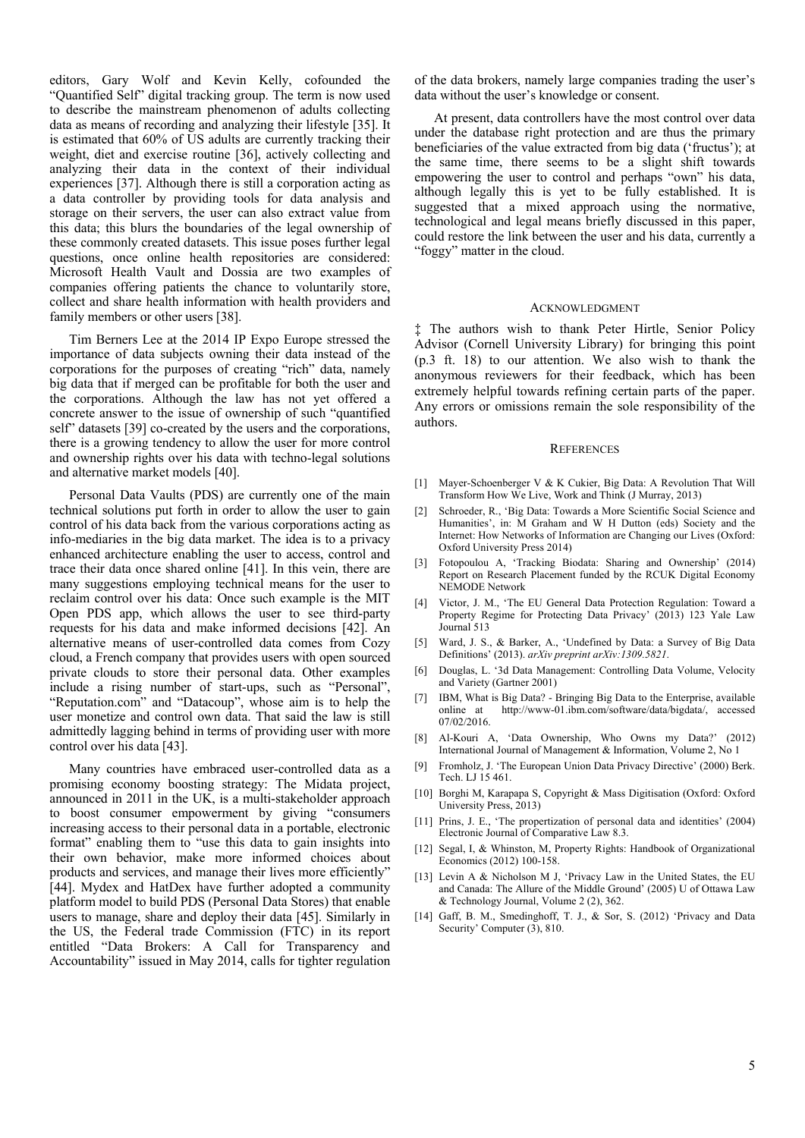editors, Gary Wolf and Kevin Kelly, cofounded the "Quantified Self" digital tracking group. The term is now used to describe the mainstream phenomenon of adults collecting data as means of recording and analyzing their lifestyle [35]. It is estimated that 60% of US adults are currently tracking their weight, diet and exercise routine [36], actively collecting and analyzing their data in the context of their individual experiences [37]. Although there is still a corporation acting as a data controller by providing tools for data analysis and storage on their servers, the user can also extract value from this data; this blurs the boundaries of the legal ownership of these commonly created datasets. This issue poses further legal questions, once online health repositories are considered: Microsoft Health Vault and Dossia are two examples of companies offering patients the chance to voluntarily store, collect and share health information with health providers and family members or other users [38].

Tim Berners Lee at the 2014 IP Expo Europe stressed the importance of data subjects owning their data instead of the corporations for the purposes of creating "rich" data, namely big data that if merged can be profitable for both the user and the corporations. Although the law has not yet offered a concrete answer to the issue of ownership of such "quantified self" datasets [39] co-created by the users and the corporations, there is a growing tendency to allow the user for more control and ownership rights over his data with techno-legal solutions and alternative market models [40].

Personal Data Vaults (PDS) are currently one of the main technical solutions put forth in order to allow the user to gain control of his data back from the various corporations acting as info-mediaries in the big data market. The idea is to a privacy enhanced architecture enabling the user to access, control and trace their data once shared online [41]. In this vein, there are many suggestions employing technical means for the user to reclaim control over his data: Once such example is the MIT Open PDS app, which allows the user to see third-party requests for his data and make informed decisions [42]. An alternative means of user-controlled data comes from Cozy cloud, a French company that provides users with open sourced private clouds to store their personal data. Other examples include a rising number of start-ups, such as "Personal", "Reputation.com" and "Datacoup", whose aim is to help the user monetize and control own data. That said the law is still admittedly lagging behind in terms of providing user with more control over his data [43].

Many countries have embraced user-controlled data as a promising economy boosting strategy: The Midata project, announced in 2011 in the UK, is a multi-stakeholder approach to boost consumer empowerment by giving "consumers increasing access to their personal data in a portable, electronic format" enabling them to "use this data to gain insights into their own behavior, make more informed choices about products and services, and manage their lives more efficiently" [44]. Mydex and HatDex have further adopted a community platform model to build PDS (Personal Data Stores) that enable users to manage, share and deploy their data [45]. Similarly in the US, the Federal trade Commission (FTC) in its report entitled "Data Brokers: A Call for Transparency and Accountability" issued in May 2014, calls for tighter regulation

of the data brokers, namely large companies trading the user's data without the user's knowledge or consent.

At present, data controllers have the most control over data under the database right protection and are thus the primary beneficiaries of the value extracted from big data ('fructus'); at the same time, there seems to be a slight shift towards empowering the user to control and perhaps "own" his data, although legally this is yet to be fully established. It is suggested that a mixed approach using the normative, technological and legal means briefly discussed in this paper, could restore the link between the user and his data, currently a "foggy" matter in the cloud.

### ACKNOWLEDGMENT

‡ The authors wish to thank Peter Hirtle, Senior Policy Advisor (Cornell University Library) for bringing this point (p.3 ft. 18) to our attention. We also wish to thank the anonymous reviewers for their feedback, which has been extremely helpful towards refining certain parts of the paper. Any errors or omissions remain the sole responsibility of the authors.

#### **REFERENCES**

- [1] Mayer-Schoenberger V & K Cukier, Big Data: A Revolution That Will Transform How We Live, Work and Think (J Murray, 2013)
- [2] Schroeder, R., 'Big Data: Towards a More Scientific Social Science and Humanities', in: M Graham and W H Dutton (eds) Society and the Internet: How Networks of Information are Changing our Lives (Oxford: Oxford University Press 2014)
- [3] Fotopoulou A, 'Tracking Biodata: Sharing and Ownership' (2014) Report on Research Placement funded by the RCUK Digital Economy NEMODE Network
- [4] Victor, J. M., 'The EU General Data Protection Regulation: Toward a Property Regime for Protecting Data Privacy' (2013) 123 Yale Law Journal<sup>513</sup>
- [5] Ward, J. S., & Barker, A., 'Undefined by Data: a Survey of Big Data Definitions' (2013). *arXiv preprint arXiv:1309.5821*.
- [6] Douglas, L. '3d Data Management: Controlling Data Volume, Velocity and Variety (Gartner 2001)
- [7] IBM, What is Big Data? Bringing Big Data to the Enterprise, available http://www-01.ibm.com/software/data/bigdata/, accessed 07/02/2016.
- [8] Al-Kouri A, 'Data Ownership, Who Owns my Data?' (2012) International Journal of Management & Information, Volume 2, No 1
- [9] Fromholz, J. 'The European Union Data Privacy Directive' (2000) Berk. Tech. LJ 15 461.
- [10] Borghi M, Karapapa S, Copyright & Mass Digitisation (Oxford: Oxford) University Press, 2013)
- [11] Prins, J. E., 'The propertization of personal data and identities' (2004) Electronic Journal of Comparative Law 8.3.
- [12] Segal, I, & Whinston, M, Property Rights: Handbook of Organizational Economics (2012) 100-158.
- [13] Levin A & Nicholson M J, 'Privacy Law in the United States, the EU and Canada: The Allure of the Middle Ground' (2005) U of Ottawa Law & Technology Journal, Volume 2 (2), 362.
- [14] Gaff, B. M., Smedinghoff, T. J., & Sor, S. (2012) 'Privacy and Data Security' Computer (3), 810.